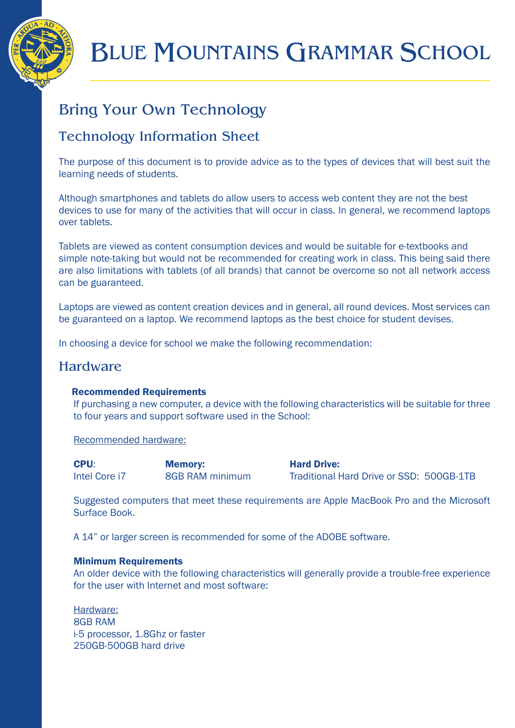

# BLUE MOUNTAINS GRAMMAR SCHOOL

## Bring Your Own Technology

## Technology Information Sheet

The purpose of this document is to provide advice as to the types of devices that will best suit the learning needs of students.

Although smartphones and tablets do allow users to access web content they are not the best devices to use for many of the activities that will occur in class. In general, we recommend laptops over tablets.

Tablets are viewed as content consumption devices and would be suitable for e-textbooks and simple note-taking but would not be recommended for creating work in class. This being said there are also limitations with tablets (of all brands) that cannot be overcome so not all network access can be guaranteed.

Laptops are viewed as content creation devices and in general, all round devices. Most services can be guaranteed on a laptop. We recommend laptops as the best choice for student devises.

In choosing a device for school we make the following recommendation:

## **Hardware**

## Recommended Requirements

If purchasing a new computer, a device with the following characteristics will be suitable for three to four years and support software used in the School:

Recommended hardware:

| <b>CPU:</b>   | <b>Memory:</b>         | <b>Hard Drive:</b>                       |
|---------------|------------------------|------------------------------------------|
| Intel Core i7 | <b>8GB RAM minimum</b> | Traditional Hard Drive or SSD: 500GB-1TB |

Suggested computers that meet these requirements are Apple MacBook Pro and the Microsoft Surface Book.

A 14" or larger screen is recommended for some of the ADOBE software.

## Minimum Requirements

An older device with the following characteristics will generally provide a trouble-free experience for the user with Internet and most software:

Hardware: 8GB RAM i-5 processor, 1.8Ghz or faster 250GB-500GB hard drive